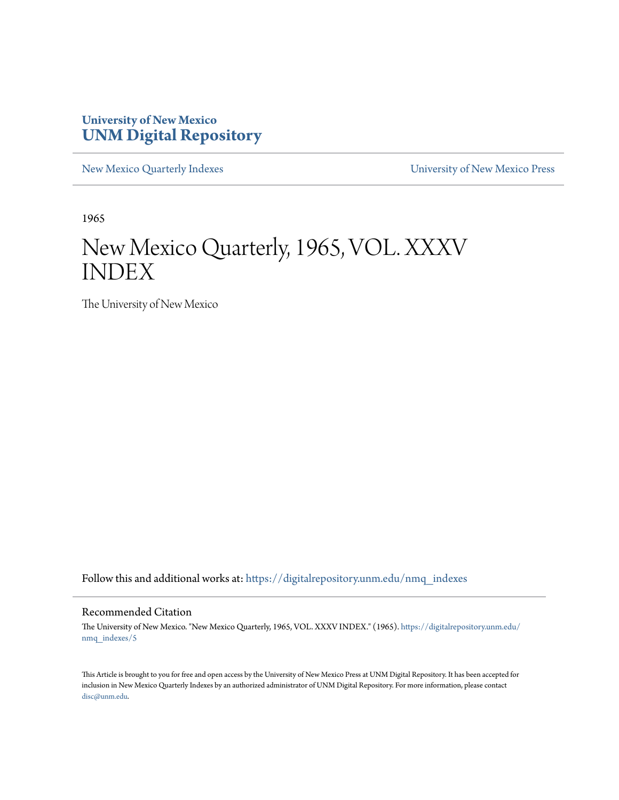# **University of New Mexico [UNM Digital Repository](https://digitalrepository.unm.edu?utm_source=digitalrepository.unm.edu%2Fnmq_indexes%2F5&utm_medium=PDF&utm_campaign=PDFCoverPages)**

[New Mexico Quarterly Indexes](https://digitalrepository.unm.edu/nmq_indexes?utm_source=digitalrepository.unm.edu%2Fnmq_indexes%2F5&utm_medium=PDF&utm_campaign=PDFCoverPages) [University of New Mexico Press](https://digitalrepository.unm.edu/press?utm_source=digitalrepository.unm.edu%2Fnmq_indexes%2F5&utm_medium=PDF&utm_campaign=PDFCoverPages)

1965

# New Mexico Quarterly, 1965, VOL. XXXV INDEX

The University of New Mexico

Follow this and additional works at: [https://digitalrepository.unm.edu/nmq\\_indexes](https://digitalrepository.unm.edu/nmq_indexes?utm_source=digitalrepository.unm.edu%2Fnmq_indexes%2F5&utm_medium=PDF&utm_campaign=PDFCoverPages)

# Recommended Citation

The University of New Mexico. "New Mexico Quarterly, 1965, VOL. XXXV INDEX." (1965). [https://digitalrepository.unm.edu/](https://digitalrepository.unm.edu/nmq_indexes/5?utm_source=digitalrepository.unm.edu%2Fnmq_indexes%2F5&utm_medium=PDF&utm_campaign=PDFCoverPages) [nmq\\_indexes/5](https://digitalrepository.unm.edu/nmq_indexes/5?utm_source=digitalrepository.unm.edu%2Fnmq_indexes%2F5&utm_medium=PDF&utm_campaign=PDFCoverPages)

This Article is brought to you for free and open access by the University of New Mexico Press at UNM Digital Repository. It has been accepted for inclusion in New Mexico Quarterly Indexes by an authorized administrator of UNM Digital Repository. For more information, please contact [disc@unm.edu](mailto:disc@unm.edu).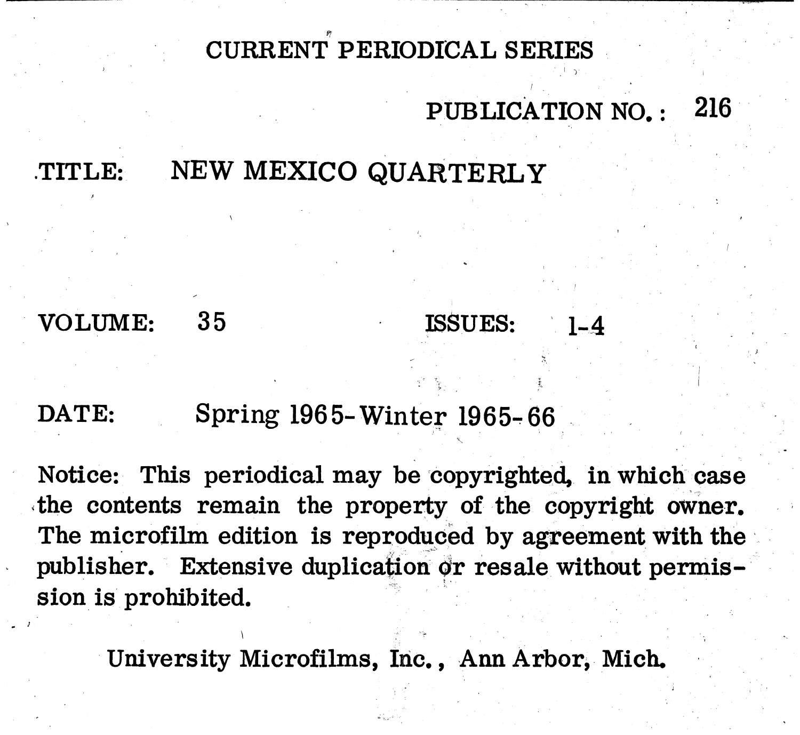CURRENT PERIODICAL SERIES

# NEW MEXICO QUARTERLY TITLE:

VOLUME: 35 ISSUES:

# DATE:

# Spring 1965-Winter 1965-66

Notice: This periodical may be copyrighted, in which case the contents remain the property of the copyright owner. The microfilm edition is reproduced by agreement with the publisher. Extensive duplication or resale without permission is prohibited.

University Microfilms, Inc., Ann Arbor, Mich.

# 216 PUBLICATION NO.:

 $1 - 4$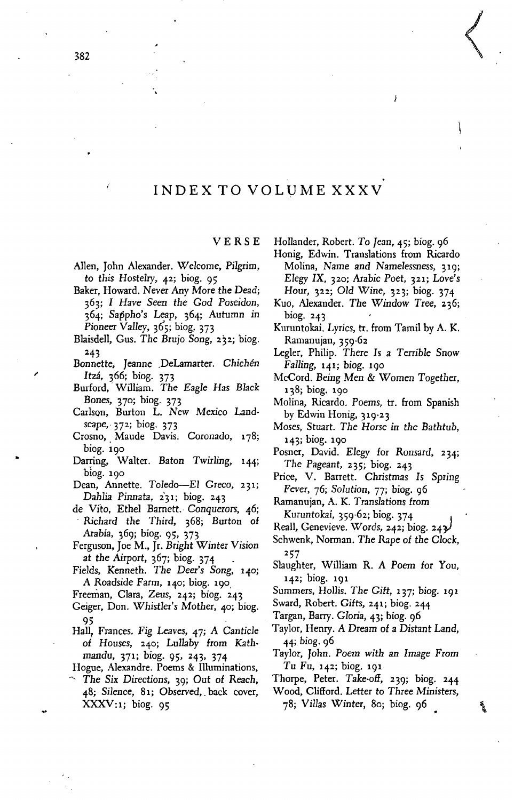# INDEX TO VOLUME XXXV

# VERSE

- Allen, John Alexander. *Welcome,* Pilgrim, to this Hostelry, 42; biog. 95
- Baker, Howard. Never Any More the Dead; 363; I *Have Seen the God Poseidon, 364; Sat3pho's* Leap, 364; *Autumn* in *Pioneer* VaIIey, 365; biog, 373
- Blaisdell, *Gus.* The Brujo *Song,* 232; biog. 243
- Bonnette, Jeanne .DeLamarter. *Chichen Itzá*, 366; biog. 373
- Burford,' William. The *Eagle* Has *Black Bones,* 370; biog. 373
- Carlson, Burton L. New Mexico Land*scape,* 372 ; biog. 373
- Crosno, Maude Davis. Coronado, 178; biog. 190
- Darring, Walter. Baton *Twirling,* 144; biog. 190
- Dean, Annette. Toledo-El Greco, 231; Dahlia Pinnata, 231; biog. 243
- de Vito, Ethel Barnett. *Conquerors, 46;* Richard the Third, 368; Burton of Arabia, 369; biog. 95, 373
- Ferguson, Joe M., Jr. Bright Winter Vision at the Airport, 367; biog. 374
- Fields, Kenneth. The Deer's *Song,* 140; A Roadside Farm, 140; biog. 190,
- Freeman, Clara, *Zeus,* 242; biog. 243
- Geiger, Don. *Whistler's* Mother, 40; biog. 95
- Hall, Frances. Fig Leaves, 47; *A* Canticle of *Houses,* 240; LuIIaby from Kathmandu, 371; biog. 95, 243, 374
- Hogue, Alexandre. Poems & Illuminations,
- The *Six* Directions, 39; Out of Reach, *48; Silence,* 81; Observed,. back cover,  $\text{XXXV}:1; \text{ } \text{biog. } 95$

Hollander, Robert. To Jean, 45; biog. 96

Honig, Edwin. Translations from Ricardo Molina, Name and *Namelessness, 319; Elegy IX, 320; Arabic Poet, 321; Love's* Hour, 322; *Old Wine,* 323; biog. 374

Ï

 $\begin{pmatrix} 1 & 1 \\ 1 & 1 \end{pmatrix}$ 

- Kuo, Alexander. The *Window* Tree, 236; biog. 243
- Kuruntokai. Lyrics, tr. from Tamil by A. K. Ramanujan, 359-62
- Legler, Philip. There Is a *Terrible* Snow *Falling,* 141; biog. 190
- McCord. Being Men & Women Together, 138; biog. 190
- Molina, Ricardo. Poems, tr. from Spanish by Edwin Honig, 319-23
- *Moses,* Stuart. *The* Horse *in the* Bathtub, 143; biog. 190
- Posner, David. *Elegy* for Ronsard, 234; *The* Pageant, 235; biog. 243
- Price, V. Barrett. Christmas Is Spring *Fever,* 76; *Solution,* 77; biog. 96

Ramanujan, A. K. *Translations* from

Kuruntokai, 359-62; biog. 374

- Reall, Genevieve. Words, 242; biog. 242/
- Schwenk, Norman. *The* Rape of the *Clock,* 257
- Slaughter, William R. *A* Poem for You, 142; biog. 191

Summers, Hollis. *The* Gift, 137; biog. 191

- Sward, Robert. Gifts, 241; biog. 244
- Targan, Barry. *Gloria,* 43; biog. 96
- Taylor, Henry. *A* Dream of a Distant Land, 44; biog. 96
- Taylor, John. Poem *with* an Image From Tu Fu, 142; biog. 191
- Thorpe, Peter. Take-off, 239; biog. 244

Wood, Clifford. Letter to Three Ministers, *78; Villas Winter,* 80; biog. <sup>96</sup> \